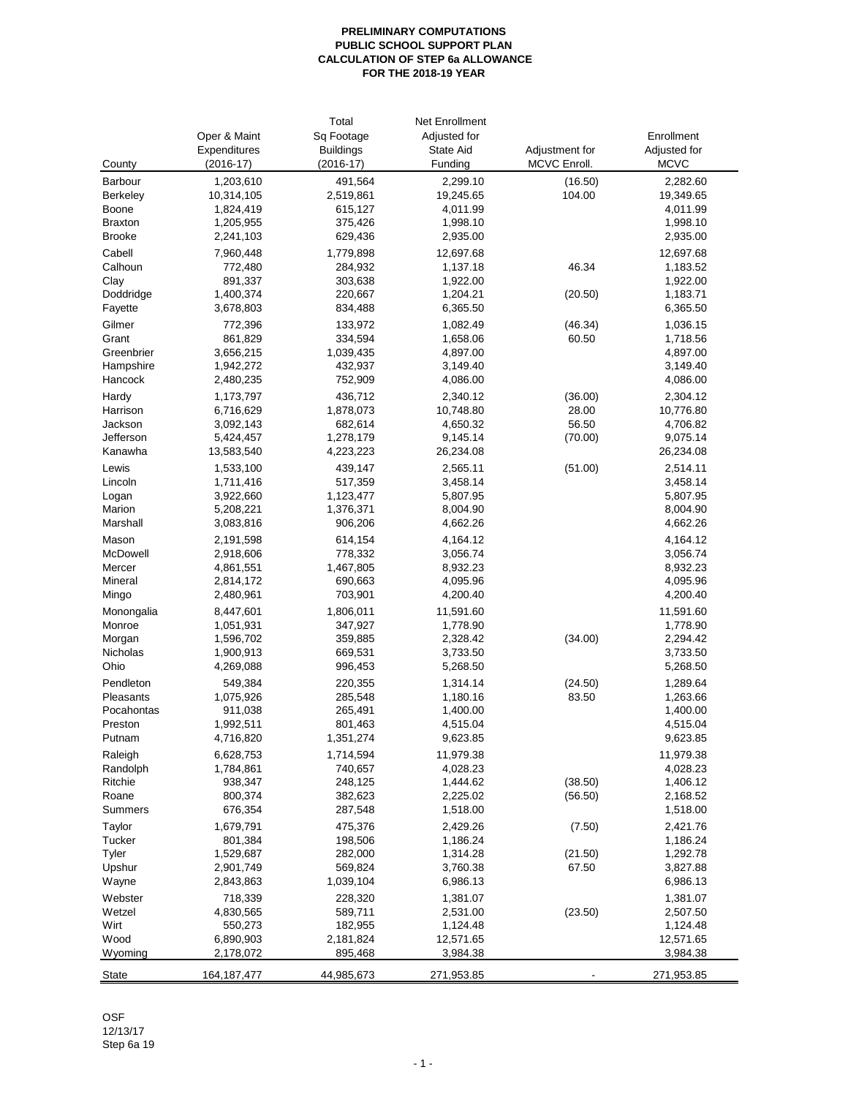## **PRELIMINARY COMPUTATIONS PUBLIC SCHOOL SUPPORT PLAN CALCULATION OF STEP 6a ALLOWANCE FOR THE 2018-19 YEAR**

|                |               | Total            | Net Enrollment |                |              |
|----------------|---------------|------------------|----------------|----------------|--------------|
|                | Oper & Maint  | Sq Footage       | Adjusted for   |                | Enrollment   |
|                | Expenditures  | <b>Buildings</b> | State Aid      | Adjustment for | Adjusted for |
| County         | $(2016-17)$   | $(2016-17)$      | Funding        | MCVC Enroll.   | <b>MCVC</b>  |
| Barbour        | 1,203,610     | 491,564          | 2,299.10       | (16.50)        | 2,282.60     |
| Berkeley       | 10,314,105    | 2,519,861        | 19,245.65      | 104.00         | 19,349.65    |
| Boone          | 1,824,419     | 615,127          | 4,011.99       |                | 4,011.99     |
| <b>Braxton</b> | 1,205,955     | 375,426          | 1,998.10       |                | 1,998.10     |
| <b>Brooke</b>  | 2,241,103     | 629,436          | 2,935.00       |                | 2,935.00     |
| Cabell         |               |                  | 12,697.68      |                |              |
|                | 7,960,448     | 1,779,898        | 1,137.18       |                | 12,697.68    |
| Calhoun        | 772,480       | 284,932          |                | 46.34          | 1,183.52     |
| Clay           | 891,337       | 303,638          | 1,922.00       |                | 1,922.00     |
| Doddridge      | 1,400,374     | 220,667          | 1,204.21       | (20.50)        | 1,183.71     |
| Fayette        | 3,678,803     | 834,488          | 6,365.50       |                | 6,365.50     |
| Gilmer         | 772,396       | 133,972          | 1,082.49       | (46.34)        | 1,036.15     |
| Grant          | 861,829       | 334,594          | 1,658.06       | 60.50          | 1,718.56     |
| Greenbrier     | 3,656,215     | 1,039,435        | 4,897.00       |                | 4,897.00     |
| Hampshire      | 1,942,272     | 432,937          | 3,149.40       |                | 3,149.40     |
| Hancock        | 2,480,235     | 752,909          | 4,086.00       |                | 4,086.00     |
| Hardy          | 1,173,797     | 436,712          | 2,340.12       | (36.00)        | 2,304.12     |
| Harrison       | 6,716,629     | 1,878,073        | 10,748.80      | 28.00          | 10,776.80    |
| Jackson        | 3,092,143     | 682,614          | 4,650.32       | 56.50          | 4,706.82     |
| Jefferson      | 5,424,457     | 1,278,179        | 9,145.14       | (70.00)        | 9,075.14     |
| Kanawha        | 13,583,540    | 4,223,223        | 26,234.08      |                | 26,234.08    |
| Lewis          | 1,533,100     | 439,147          | 2,565.11       | (51.00)        | 2,514.11     |
| Lincoln        | 1,711,416     | 517,359          | 3,458.14       |                | 3,458.14     |
| Logan          | 3,922,660     | 1,123,477        | 5,807.95       |                | 5,807.95     |
| Marion         | 5,208,221     | 1,376,371        | 8,004.90       |                | 8,004.90     |
| Marshall       | 3,083,816     | 906,206          | 4,662.26       |                | 4,662.26     |
| Mason          | 2,191,598     | 614,154          | 4,164.12       |                | 4,164.12     |
| McDowell       | 2,918,606     | 778,332          | 3,056.74       |                | 3,056.74     |
| Mercer         | 4,861,551     | 1,467,805        | 8,932.23       |                | 8,932.23     |
| Mineral        | 2,814,172     | 690,663          | 4,095.96       |                | 4,095.96     |
| Mingo          | 2,480,961     | 703,901          | 4,200.40       |                | 4,200.40     |
| Monongalia     | 8,447,601     | 1,806,011        | 11,591.60      |                | 11,591.60    |
| Monroe         | 1,051,931     | 347,927          | 1,778.90       |                | 1,778.90     |
| Morgan         | 1,596,702     | 359,885          | 2,328.42       | (34.00)        | 2,294.42     |
| Nicholas       | 1,900,913     | 669,531          | 3,733.50       |                | 3,733.50     |
| Ohio           | 4,269,088     | 996,453          | 5,268.50       |                | 5,268.50     |
| Pendleton      | 549,384       | 220,355          | 1,314.14       | (24.50)        | 1,289.64     |
| Pleasants      | 1,075,926     | 285,548          | 1,180.16       | 83.50          | 1,263.66     |
| Pocahontas     | 911,038       | 265,491          | 1,400.00       |                | 1,400.00     |
| Preston        | 1,992,511     | 801,463          | 4,515.04       |                | 4,515.04     |
| Putnam         | 4,716,820     | 1,351,274        | 9,623.85       |                | 9,623.85     |
| Raleigh        | 6,628,753     | 1,714,594        | 11,979.38      |                | 11,979.38    |
| Randolph       | 1,784,861     | 740,657          | 4,028.23       |                | 4,028.23     |
| Ritchie        | 938,347       | 248,125          | 1,444.62       | (38.50)        | 1,406.12     |
| Roane          | 800,374       | 382,623          | 2,225.02       | (56.50)        | 2,168.52     |
| Summers        | 676,354       | 287,548          | 1,518.00       |                | 1,518.00     |
| Taylor         | 1,679,791     | 475,376          | 2,429.26       | (7.50)         | 2,421.76     |
| Tucker         | 801,384       | 198,506          | 1,186.24       |                | 1,186.24     |
| Tyler          | 1,529,687     | 282,000          | 1,314.28       | (21.50)        | 1,292.78     |
| Upshur         | 2,901,749     | 569,824          | 3,760.38       | 67.50          | 3,827.88     |
| Wayne          | 2,843,863     | 1,039,104        | 6,986.13       |                | 6,986.13     |
| Webster        | 718,339       | 228,320          | 1,381.07       |                | 1,381.07     |
| Wetzel         | 4,830,565     | 589,711          | 2,531.00       | (23.50)        | 2,507.50     |
| Wirt           | 550,273       | 182,955          | 1,124.48       |                | 1,124.48     |
| Wood           | 6,890,903     | 2,181,824        | 12,571.65      |                | 12,571.65    |
| Wyoming        | 2,178,072     | 895,468          | 3,984.38       |                | 3,984.38     |
| <b>State</b>   | 164, 187, 477 | 44,985,673       | 271,953.85     |                | 271,953.85   |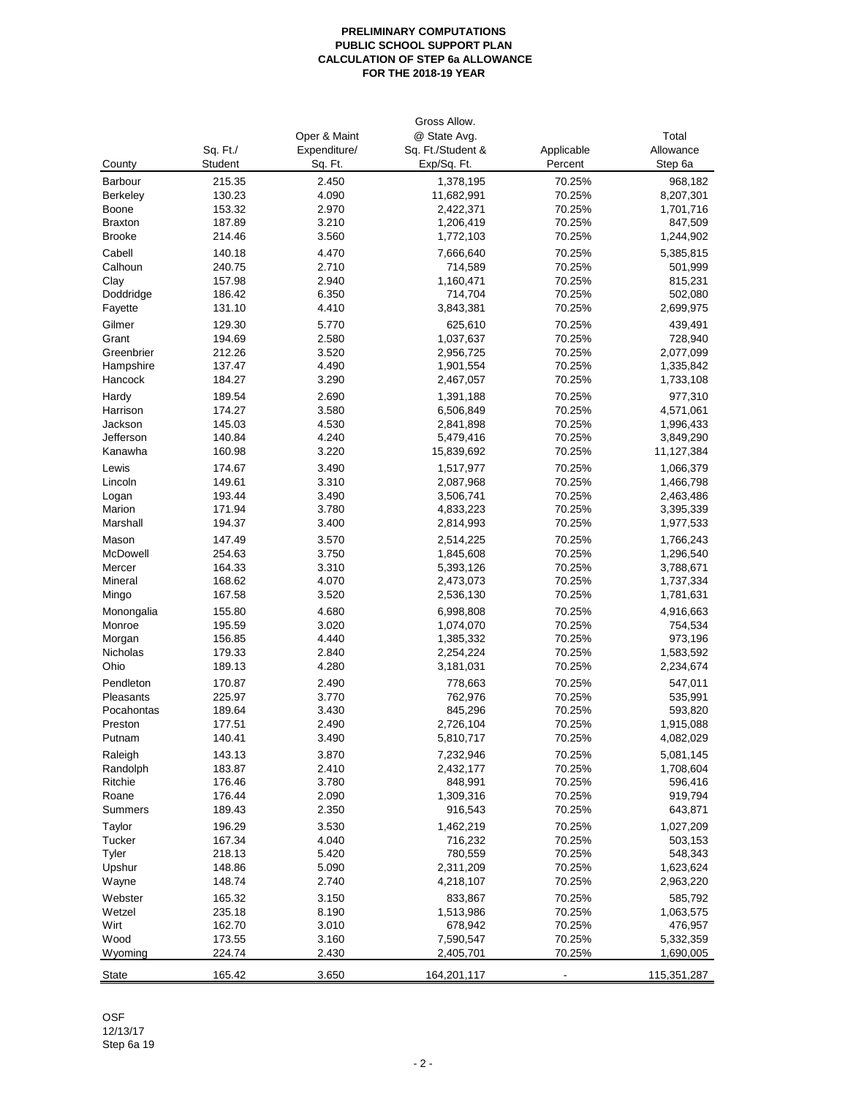## **PRELIMINARY COMPUTATIONS PUBLIC SCHOOL SUPPORT PLAN CALCULATION OF STEP 6a ALLOWANCE FOR THE 2018-19 YEAR**

| County           | Sq. Ft./<br>Student | Oper & Maint<br>Expenditure/<br>Sq. Ft. | Gross Allow.<br>@ State Avg.<br>Sq. Ft./Student &<br>Exp/Sq. Ft. | Applicable<br>Percent | Total<br>Allowance<br>Step 6a |
|------------------|---------------------|-----------------------------------------|------------------------------------------------------------------|-----------------------|-------------------------------|
|                  |                     |                                         |                                                                  |                       |                               |
| Barbour          | 215.35              | 2.450                                   | 1,378,195                                                        | 70.25%                | 968,182                       |
| Berkeley         | 130.23              | 4.090                                   | 11,682,991                                                       | 70.25%                | 8,207,301                     |
| Boone            | 153.32              | 2.970                                   | 2,422,371                                                        | 70.25%                | 1,701,716                     |
| <b>Braxton</b>   | 187.89              | 3.210                                   | 1,206,419                                                        | 70.25%                | 847,509                       |
| <b>Brooke</b>    | 214.46              | 3.560                                   | 1,772,103                                                        | 70.25%                | 1,244,902                     |
| Cabell           | 140.18              | 4.470                                   | 7,666,640                                                        | 70.25%                | 5,385,815                     |
| Calhoun          | 240.75              | 2.710                                   | 714,589                                                          | 70.25%                | 501,999                       |
| Clay             | 157.98              | 2.940                                   | 1,160,471                                                        | 70.25%                | 815,231                       |
| Doddridge        | 186.42              | 6.350                                   | 714,704                                                          | 70.25%                | 502,080                       |
| Fayette          | 131.10              | 4.410                                   | 3,843,381                                                        | 70.25%                | 2,699,975                     |
| Gilmer           | 129.30              | 5.770                                   | 625,610                                                          | 70.25%                | 439,491                       |
| Grant            | 194.69              | 2.580                                   | 1,037,637                                                        | 70.25%                | 728,940                       |
| Greenbrier       | 212.26              | 3.520                                   | 2,956,725                                                        | 70.25%                | 2,077,099                     |
| Hampshire        | 137.47              | 4.490                                   | 1,901,554                                                        | 70.25%                | 1,335,842                     |
| Hancock          | 184.27              | 3.290                                   | 2,467,057                                                        | 70.25%                | 1,733,108                     |
| Hardy            | 189.54              | 2.690                                   | 1,391,188                                                        | 70.25%                | 977,310                       |
| Harrison         | 174.27              | 3.580                                   | 6,506,849                                                        | 70.25%                | 4,571,061                     |
| Jackson          | 145.03              | 4.530                                   | 2,841,898                                                        | 70.25%                | 1,996,433                     |
| Jefferson        | 140.84              | 4.240                                   | 5,479,416                                                        | 70.25%                | 3,849,290                     |
| Kanawha          | 160.98              | 3.220                                   | 15,839,692                                                       | 70.25%                | 11,127,384                    |
| Lewis            | 174.67              | 3.490                                   | 1,517,977                                                        | 70.25%                | 1,066,379                     |
| Lincoln          | 149.61              | 3.310                                   | 2,087,968                                                        | 70.25%                | 1,466,798                     |
| Logan            | 193.44              | 3.490                                   | 3,506,741                                                        | 70.25%                | 2,463,486                     |
| Marion           | 171.94              | 3.780                                   | 4,833,223                                                        | 70.25%                | 3,395,339                     |
| Marshall         | 194.37              | 3.400                                   | 2,814,993                                                        | 70.25%                | 1,977,533                     |
| Mason            | 147.49              | 3.570                                   | 2,514,225                                                        | 70.25%                | 1,766,243                     |
| McDowell         | 254.63              | 3.750                                   | 1,845,608                                                        | 70.25%                | 1,296,540                     |
| Mercer           | 164.33              | 3.310                                   | 5,393,126                                                        | 70.25%                | 3,788,671                     |
| Mineral          | 168.62              | 4.070                                   | 2,473,073                                                        | 70.25%                | 1,737,334                     |
| Mingo            | 167.58              | 3.520                                   | 2,536,130                                                        | 70.25%                | 1,781,631                     |
|                  |                     |                                         |                                                                  |                       |                               |
| Monongalia       | 155.80              | 4.680                                   | 6,998,808                                                        | 70.25%                | 4,916,663                     |
| Monroe           | 195.59              | 3.020                                   | 1,074,070                                                        | 70.25%                | 754,534                       |
| Morgan           | 156.85              | 4.440                                   | 1,385,332                                                        | 70.25%                | 973,196                       |
| Nicholas<br>Ohio | 179.33              | 2.840<br>4.280                          | 2,254,224                                                        | 70.25%                | 1,583,592                     |
|                  | 189.13              |                                         | 3,181,031                                                        | 70.25%                | 2,234,674                     |
| Pendleton        | 170.87              | 2.490                                   | 778,663                                                          | 70.25%                | 547,011                       |
| Pleasants        | 225.97              | 3.770                                   | 762,976                                                          | 70.25%                | 535,991                       |
| Pocahontas       | 189.64              | 3.430                                   | 845,296                                                          | 70.25%                | 593,820                       |
| Preston          | 177.51              | 2.490                                   | 2,726,104                                                        | 70.25%                | 1,915,088                     |
| Putnam           | 140.41              | 3.490                                   | 5,810,717                                                        | 70.25%                | 4,082,029                     |
| Raleigh          | 143.13              | 3.870                                   | 7,232,946                                                        | 70.25%                | 5,081,145                     |
| Randolph         | 183.87              | 2.410                                   | 2,432,177                                                        | 70.25%                | 1,708,604                     |
| Ritchie          | 176.46              | 3.780                                   | 848,991                                                          | 70.25%                | 596,416                       |
| Roane            | 176.44              | 2.090                                   | 1,309,316                                                        | 70.25%                | 919,794                       |
| Summers          | 189.43              | 2.350                                   | 916,543                                                          | 70.25%                | 643,871                       |
| Taylor           | 196.29              | 3.530                                   | 1,462,219                                                        | 70.25%                | 1,027,209                     |
| Tucker           | 167.34              | 4.040                                   | 716,232                                                          | 70.25%                | 503,153                       |
| Tyler            | 218.13              | 5.420                                   | 780,559                                                          | 70.25%                | 548,343                       |
| Upshur           | 148.86              | 5.090                                   | 2,311,209                                                        | 70.25%                | 1,623,624                     |
| Wayne            | 148.74              | 2.740                                   | 4,218,107                                                        | 70.25%                | 2,963,220                     |
| Webster          | 165.32              | 3.150                                   | 833,867                                                          | 70.25%                | 585,792                       |
| Wetzel           | 235.18              | 8.190                                   | 1,513,986                                                        | 70.25%                | 1,063,575                     |
| Wirt             | 162.70              | 3.010                                   | 678,942                                                          | 70.25%                | 476,957                       |
| Wood             | 173.55              | 3.160                                   | 7,590,547                                                        | 70.25%                | 5,332,359                     |
| Wyoming          | 224.74              | 2.430                                   | 2,405,701                                                        | 70.25%                | 1,690,005                     |
|                  |                     |                                         |                                                                  |                       |                               |
| <b>State</b>     | 165.42              | 3.650                                   | 164,201,117                                                      |                       | 115,351,287                   |